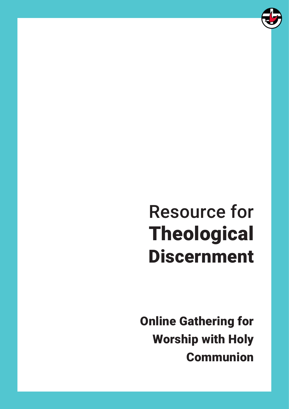

# Resource for Theological Discernment

Online Gathering for Worship with Holy Communion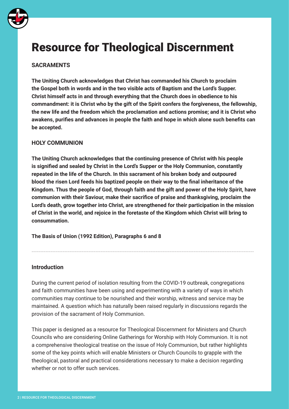

# Resource for Theological Discernment

# **SACRAMENTS**

**The Uniting Church acknowledges that Christ has commanded his Church to proclaim the Gospel both in words and in the two visible acts of Baptism and the Lord's Supper. Christ himself acts in and through everything that the Church does in obedience to his commandment: it is Christ who by the gift of the Spirit confers the forgiveness, the fellowship, the new life and the freedom which the proclamation and actions promise; and it is Christ who awakens, purifies and advances in people the faith and hope in which alone such benefits can be accepted.** 

#### **HOLY COMMUNION**

**The Uniting Church acknowledges that the continuing presence of Christ with his people is signified and sealed by Christ in the Lord's Supper or the Holy Communion, constantly repeated in the life of the Church. In this sacrament of his broken body and outpoured blood the risen Lord feeds his baptized people on their way to the final inheritance of the Kingdom. Thus the people of God, through faith and the gift and power of the Holy Spirit, have communion with their Saviour, make their sacrifice of praise and thanksgiving, proclaim the Lord's death, grow together into Christ, are strengthened for their participation in the mission of Christ in the world, and rejoice in the foretaste of the Kingdom which Christ will bring to consummation.** 

**The Basis of Union (1992 Edition), Paragraphs 6 and 8**

#### **Introduction**

During the current period of isolation resulting from the COVID-19 outbreak, congregations and faith communities have been using and experimenting with a variety of ways in which communities may continue to be nourished and their worship, witness and service may be maintained. A question which has naturally been raised regularly in discussions regards the provision of the sacrament of Holy Communion.

---------------------------------------------------------------------------------------------------------------------------------

This paper is designed as a resource for Theological Discernment for Ministers and Church Councils who are considering Online Gatherings for Worship with Holy Communion. It is not a comprehensive theological treatise on the issue of Holy Communion, but rather highlights some of the key points which will enable Ministers or Church Councils to grapple with the theological, pastoral and practical considerations necessary to make a decision regarding whether or not to offer such services.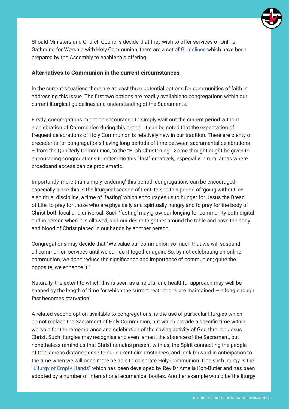

Should Ministers and Church Councils decide that they wish to offer services of Online Gathering for Worship with Holy Communion, there are a set of [Guidelines](https://drive.google.com/file/d/1WybOWJYkOelDSEhMjIs0LFN3WchrlB_C/view?usp=sharing) which have been prepared by the Assembly to enable this offering.

#### **Alternatives to Communion in the current circumstances**

In the current situations there are at least three potential options for communities of faith in addressing this issue. The first two options are readily available to congregations within our current liturgical guidelines and understanding of the Sacraments.

Firstly, congregations might be encouraged to simply wait out the current period without a celebration of Communion during this period. It can be noted that the expectation of frequent celebrations of Holy Communion is relatively new in our tradition. There are plenty of precedents for congregations having long periods of time between sacramental celebrations – from the Quarterly Communion, to the "Bush Christening". Some thought might be given to encouraging congregations to enter into this "fast" creatively, especially in rural areas where broadband access can be problematic.

Importantly, more than simply 'enduring' this period, congregations can be encouraged, especially since this is the liturgical season of Lent, to see this period of 'going without' as a spiritual discipline, a time of 'fasting' which encourages us to hunger for Jesus the Bread of Life, to pray for those who are physically and spiritually hungry and to pray for the body of Christ both local and universal. Such 'fasting' may grow our longing for community both digital and in person when it is allowed, and our desire to gather around the table and have the body and blood of Christ placed in our hands by another person.

Congregations may decide that "We value our communion so much that we will suspend all communion services until we can do it together again. So, by not celebrating an online communion, we don't reduce the significance and importance of communion; quite the opposite, we enhance it."

Naturally, the extent to which this is seen as a helpful and healthful approach may well be shaped by the length of time for which the current restrictions are maintained  $-$  a long enough fast becomes starvation!

A related second option available to congregations, is the use of particular liturgies which do not replace the Sacrament of Holy Communion, but which provide a specific time within worship for the remembrance and celebration of the saving activity of God through Jesus Christ. Such liturgies may recognise and even lament the absence of the Sacrament, but nonetheless remind us that Christ remains present with us, the Spirit connecting the people of God across distance despite our current circumstances, and look forward in anticipation to the time when we will once more be able to celebrate Holy Communion. One such liturgy is the ["Liturgy of Empty Hands](https://ameliakoh-butler.blogspot.com/p/the-sacrament-of-empty-hands.html)" which has been developed by Rev Dr Amelia Koh-Butler and has been adopted by a number of international ecumenical bodies. Another example would be the liturgy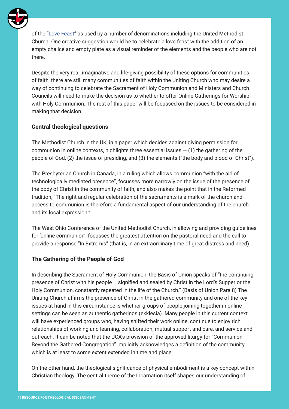

of the ["Love Feast](https://s3.us-east-1.amazonaws.com/gbod-assets/generic/LOVE-FEAST.pdf)" as used by a number of denominations including the United Methodist Church. One creative suggestion would be to celebrate a love feast with the addition of an empty chalice and empty plate as a visual reminder of the elements and the people who are not there.

Despite the very real, imaginative and life-giving possibility of these options for communities of faith, there are still many communities of faith within the Uniting Church who may desire a way of continuing to celebrate the Sacrament of Holy Communion and Ministers and Church Councils will need to make the decision as to whether to offer Online Gatherings for Worship with Holy Communion. The rest of this paper will be focussed on the issues to be considered in making that decision.

### **Central theological questions**

The Methodist Church in the UK, in a paper which decides against giving permission for communion in online contexts, highlights three essential issues  $-$  (1) the gathering of the people of God, (2) the issue of presiding, and (3) the elements ("the body and blood of Christ").

The Presbyterian Church in Canada, in a ruling which allows communion "with the aid of technologically mediated presence", focusses more narrowly on the issue of the presence of the body of Christ in the community of faith, and also makes the point that in the Reformed tradition, "The right and regular celebration of the sacraments is a mark of the church and access to communion is therefore a fundamental aspect of our understanding of the church and its local expression."

The West Ohio Conference of the United Methodist Church, in allowing and providing guidelines for 'online communion', focusses the greatest attention on the pastoral need and the call to provide a response "In Extremis" (that is, in an extraordinary time of great distress and need).

#### **The Gathering of the People of God**

In describing the Sacrament of Holy Communion, the Basis of Union speaks of "the continuing presence of Christ with his people … signified and sealed by Christ in the Lord's Supper or the Holy Communion, constantly repeated in the life of the Church." (Basis of Union Para 8) The Uniting Church affirms the presence of Christ in the gathered community and one of the key issues at hand in this circumstance is whether groups of people joining together in online settings can be seen as authentic gatherings (ekklesia). Many people in this current context will have experienced groups who, having shifted their work online, continue to enjoy rich relationships of working and learning, collaboration, mutual support and care, and service and outreach. It can be noted that the UCA's provision of the approved liturgy for "Communion Beyond the Gathered Congregation" implicitly acknowledges a definition of the community which is at least to some extent extended in time and place.

On the other hand, the theological significance of physical embodiment is a key concept within Christian theology. The central theme of the Incarnation itself shapes our understanding of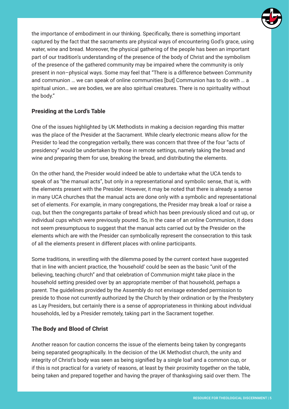

the importance of embodiment in our thinking. Specifically, there is something important captured by the fact that the sacraments are physical ways of encountering God's grace, using water, wine and bread. Moreover, the physical gathering of the people has been an important part of our tradition's understanding of the presence of the body of Christ and the symbolism of the presence of the gathered community may be impaired where the community is only present in non–physical ways. Some may feel that "There is a difference between Community and communion … we can speak of online communities [but] Communion has to do with … a spiritual union… we are bodies, we are also spiritual creatures. There is no spirituality without the body."

# **Presiding at the Lord's Table**

One of the issues highlighted by UK Methodists in making a decision regarding this matter was the place of the Presider at the Sacrament. While clearly electronic means allow for the Presider to lead the congregation verbally, there was concern that three of the four "acts of presidency" would be undertaken by those in remote settings, namely taking the bread and wine and preparing them for use, breaking the bread, and distributing the elements.

On the other hand, the Presider would indeed be able to undertake what the UCA tends to speak of as "the manual acts", but only in a representational and symbolic sense, that is, with the elements present with the Presider. However, it may be noted that there is already a sense in many UCA churches that the manual acts are done only with a symbolic and representational set of elements. For example, in many congregations, the Presider may break a loaf or raise a cup, but then the congregants partake of bread which has been previously sliced and cut up, or individual cups which were previously poured. So, in the case of an online Communion, it does not seem presumptuous to suggest that the manual acts carried out by the Presider on the elements which are with the Presider can symbolically represent the consecration to this task of all the elements present in different places with online participants.

Some traditions, in wrestling with the dilemma posed by the current context have suggested that in line with ancient practice, the 'household' could be seen as the basic "unit of the believing, teaching church" and that celebration of Communion might take place in the household setting presided over by an appropriate member of that household, perhaps a parent. The guidelines provided by the Assembly do not envisage extended permission to preside to those not currently authorized by the Church by their ordination or by the Presbytery as Lay Presiders, but certainly there is a sense of appropriateness in thinking about individual households, led by a Presider remotely, taking part in the Sacrament together.

# **The Body and Blood of Christ**

Another reason for caution concerns the issue of the elements being taken by congregants being separated geographically. In the decision of the UK Methodist church, the unity and integrity of Christ's body was seen as being signified by a single loaf and a common cup, or if this is not practical for a variety of reasons, at least by their proximity together on the table, being taken and prepared together and having the prayer of thanksgiving said over them. The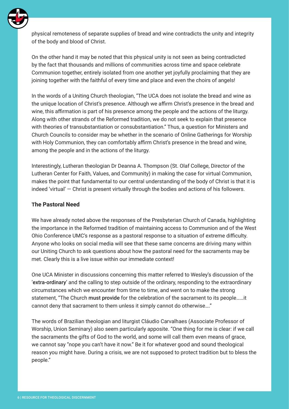

physical remoteness of separate supplies of bread and wine contradicts the unity and integrity of the body and blood of Christ.

On the other hand it may be noted that this physical unity is not seen as being contradicted by the fact that thousands and millions of communities across time and space celebrate Communion together, entirely isolated from one another yet joyfully proclaiming that they are joining together with the faithful of every time and place and even the choirs of angels!

In the words of a Uniting Church theologian, "The UCA does not isolate the bread and wine as the unique location of Christ's presence. Although we affirm Christ's presence in the bread and wine, this affirmation is part of his presence among the people and the actions of the liturgy. Along with other strands of the Reformed tradition, we do not seek to explain that presence with theories of transubstantiation or consubstantiation." Thus, a question for Ministers and Church Councils to consider may be whether in the scenario of Online Gatherings for Worship with Holy Communion, they can comfortably affirm Christ's presence in the bread and wine, among the people and in the actions of the liturgy.

Interestingly, Lutheran theologian Dr Deanna A. Thompson (St. Olaf College, Director of the Lutheran Center for Faith, Values, and Community) in making the case for virtual Communion, makes the point that fundamental to our central understanding of the body of Christ is that it is indeed 'virtual' — Christ is present virtually through the bodies and actions of his followers.

### **The Pastoral Need**

We have already noted above the responses of the Presbyterian Church of Canada, highlighting the importance in the Reformed tradition of maintaining access to Communion and of the West Ohio Conference UMC's response as a pastoral response to a situation of extreme difficulty. Anyone who looks on social media will see that these same concerns are driving many within our Uniting Church to ask questions about how the pastoral need for the sacraments may be met. Clearly this is a live issue within our immediate context!

One UCA Minister in discussions concerning this matter referred to Wesley's discussion of the 'extra-ordinary' and the calling to step outside of the ordinary, responding to the extraordinary circumstances which we encounter from time to time, and went on to make the strong statement, "The Church must provide for the celebration of the sacrament to its people……it cannot deny that sacrament to them unless it simply cannot do otherwise…."

The words of Brazilian theologian and liturgist Cláudio Carvalhaes (Associate Professor of Worship, Union Seminary) also seem particularly apposite. "One thing for me is clear: if we call the sacraments the gifts of God to the world, and some will call them even means of grace, we cannot say "nope you can't have it now." Be it for whatever good and sound theological reason you might have. During a crisis, we are not supposed to protect tradition but to bless the people."